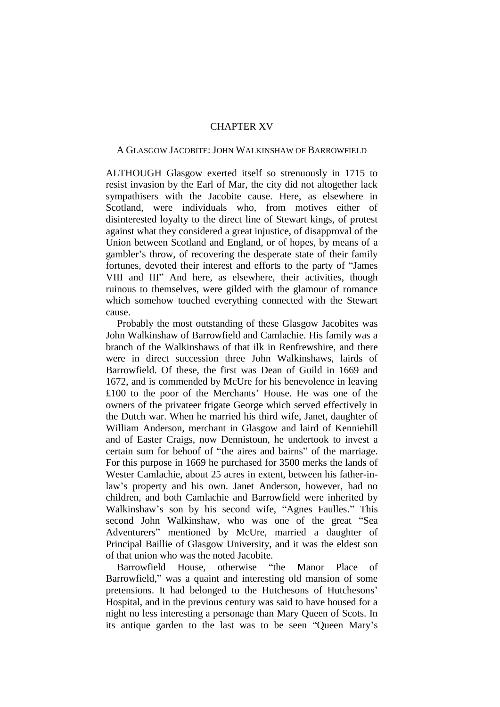## CHAPTER XV

## A GLASGOW JACOBITE: JOHN WALKINSHAW OF BARROWFIELD

ALTHOUGH Glasgow exerted itself so strenuously in 1715 to resist invasion by the Earl of Mar, the city did not altogether lack sympathisers with the Jacobite cause. Here, as elsewhere in Scotland, were individuals who, from motives either of disinterested loyalty to the direct line of Stewart kings, of protest against what they considered a great injustice, of disapproval of the Union between Scotland and England, or of hopes, by means of a gambler's throw, of recovering the desperate state of their family fortunes, devoted their interest and efforts to the party of "James VIII and III" And here, as elsewhere, their activities, though ruinous to themselves, were gilded with the glamour of romance which somehow touched everything connected with the Stewart cause.

Probably the most outstanding of these Glasgow Jacobites was John Walkinshaw of Barrowfield and Camlachie. His family was a branch of the Walkinshaws of that ilk in Renfrewshire, and there were in direct succession three John Walkinshaws, lairds of Barrowfield. Of these, the first was Dean of Guild in 1669 and 1672, and is commended by McUre for his benevolence in leaving £100 to the poor of the Merchants' House. He was one of the owners of the privateer frigate George which served effectively in the Dutch war. When he married his third wife, Janet, daughter of William Anderson, merchant in Glasgow and laird of Kenniehill and of Easter Craigs, now Dennistoun, he undertook to invest a certain sum for behoof of "the aires and bairns" of the marriage. For this purpose in 1669 he purchased for 3500 merks the lands of Wester Camlachie, about 25 acres in extent, between his father-inlaw's property and his own. Janet Anderson, however, had no children, and both Camlachie and Barrowfield were inherited by Walkinshaw's son by his second wife, "Agnes Faulles." This second John Walkinshaw, who was one of the great "Sea Adventurers" mentioned by McUre, married a daughter of Principal Baillie of Glasgow University, and it was the eldest son of that union who was the noted Jacobite.

Barrowfield House, otherwise "the Manor Place of Barrowfield," was a quaint and interesting old mansion of some pretensions. It had belonged to the Hutchesons of Hutchesons' Hospital, and in the previous century was said to have housed for a night no less interesting a personage than Mary Queen of Scots. In its antique garden to the last was to be seen "Queen Mary's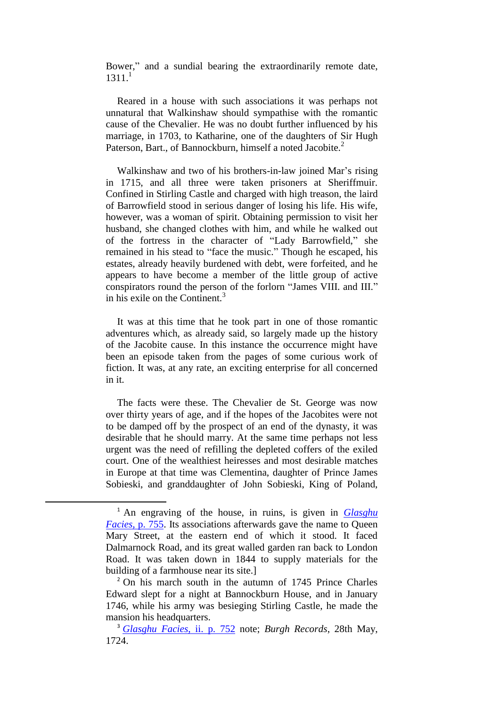Bower," and a sundial bearing the extraordinarily remote date,  $1311<sup>1</sup>$ 

Reared in a house with such associations it was perhaps not unnatural that Walkinshaw should sympathise with the romantic cause of the Chevalier. He was no doubt further influenced by his marriage, in 1703, to Katharine, one of the daughters of Sir Hugh Paterson, Bart., of Bannockburn, himself a noted Jacobite.<sup>2</sup>

Walkinshaw and two of his brothers-in-law joined Mar's rising in 1715, and all three were taken prisoners at Sheriffmuir. Confined in Stirling Castle and charged with high treason, the laird of Barrowfield stood in serious danger of losing his life. His wife, however, was a woman of spirit. Obtaining permission to visit her husband, she changed clothes with him, and while he walked out of the fortress in the character of "Lady Barrowfield," she remained in his stead to "face the music." Though he escaped, his estates, already heavily burdened with debt, were forfeited, and he appears to have become a member of the little group of active conspirators round the person of the forlorn "James VIII. and III." in his exile on the Continent.<sup>3</sup>

It was at this time that he took part in one of those romantic adventures which, as already said, so largely made up the history of the Jacobite cause. In this instance the occurrence might have been an episode taken from the pages of some curious work of fiction. It was, at any rate, an exciting enterprise for all concerned in it.

The facts were these. The Chevalier de St. George was now over thirty years of age, and if the hopes of the Jacobites were not to be damped off by the prospect of an end of the dynasty, it was desirable that he should marry. At the same time perhaps not less urgent was the need of refilling the depleted coffers of the exiled court. One of the wealthiest heiresses and most desirable matches in Europe at that time was Clementina, daughter of Prince James Sobieski, and granddaughter of John Sobieski, King of Poland,

**.** 

<sup>1</sup> An engraving of the house, in ruins, is given in *[Glasghu](http://books.google.com/books?id=tdgHAAAAQAAJ&dq=Glasgow%20Facies&pg=PA755#v=onepage&q&f=false)  Facies*[, p. 755.](http://books.google.com/books?id=tdgHAAAAQAAJ&dq=Glasgow%20Facies&pg=PA755#v=onepage&q&f=false) Its associations afterwards gave the name to Queen Mary Street, at the eastern end of which it stood. It faced Dalmarnock Road, and its great walled garden ran back to London Road. It was taken down in 1844 to supply materials for the building of a farmhouse near its site.]

<sup>&</sup>lt;sup>2</sup> On his march south in the autumn of 1745 Prince Charles Edward slept for a night at Bannockburn House, and in January 1746, while his army was besieging Stirling Castle, he made the mansion his headquarters.

<sup>3</sup> *[Glasghu Facies](http://books.google.com/books?id=tdgHAAAAQAAJ&dq=Glasgow%20Facies&pg=PA752#v=onepage&q&f=false)*, ii. p. 752 note; *Burgh Records*, 28th May, 1724.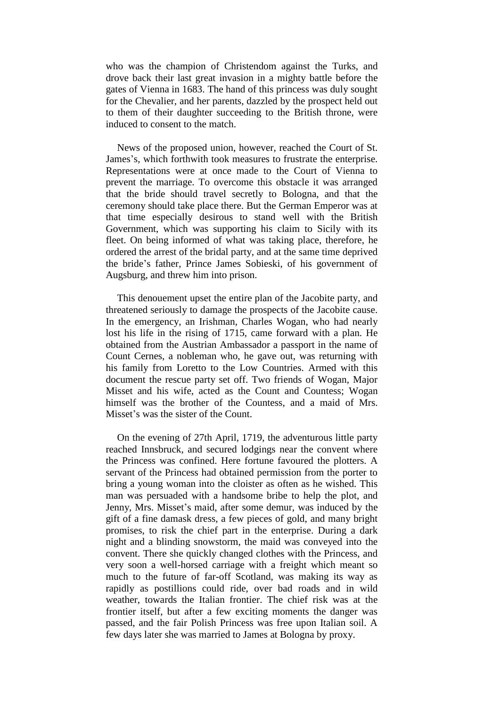who was the champion of Christendom against the Turks, and drove back their last great invasion in a mighty battle before the gates of Vienna in 1683. The hand of this princess was duly sought for the Chevalier, and her parents, dazzled by the prospect held out to them of their daughter succeeding to the British throne, were induced to consent to the match.

News of the proposed union, however, reached the Court of St. James's, which forthwith took measures to frustrate the enterprise. Representations were at once made to the Court of Vienna to prevent the marriage. To overcome this obstacle it was arranged that the bride should travel secretly to Bologna, and that the ceremony should take place there. But the German Emperor was at that time especially desirous to stand well with the British Government, which was supporting his claim to Sicily with its fleet. On being informed of what was taking place, therefore, he ordered the arrest of the bridal party, and at the same time deprived the bride's father, Prince James Sobieski, of his government of Augsburg, and threw him into prison.

This denouement upset the entire plan of the Jacobite party, and threatened seriously to damage the prospects of the Jacobite cause. In the emergency, an Irishman, Charles Wogan, who had nearly lost his life in the rising of 1715, came forward with a plan. He obtained from the Austrian Ambassador a passport in the name of Count Cernes, a nobleman who, he gave out, was returning with his family from Loretto to the Low Countries. Armed with this document the rescue party set off. Two friends of Wogan, Major Misset and his wife, acted as the Count and Countess; Wogan himself was the brother of the Countess, and a maid of Mrs. Misset's was the sister of the Count.

On the evening of 27th April, 1719, the adventurous little party reached Innsbruck, and secured lodgings near the convent where the Princess was confined. Here fortune favoured the plotters. A servant of the Princess had obtained permission from the porter to bring a young woman into the cloister as often as he wished. This man was persuaded with a handsome bribe to help the plot, and Jenny, Mrs. Misset's maid, after some demur, was induced by the gift of a fine damask dress, a few pieces of gold, and many bright promises, to risk the chief part in the enterprise. During a dark night and a blinding snowstorm, the maid was conveyed into the convent. There she quickly changed clothes with the Princess, and very soon a well-horsed carriage with a freight which meant so much to the future of far-off Scotland, was making its way as rapidly as postillions could ride, over bad roads and in wild weather, towards the Italian frontier. The chief risk was at the frontier itself, but after a few exciting moments the danger was passed, and the fair Polish Princess was free upon Italian soil. A few days later she was married to James at Bologna by proxy.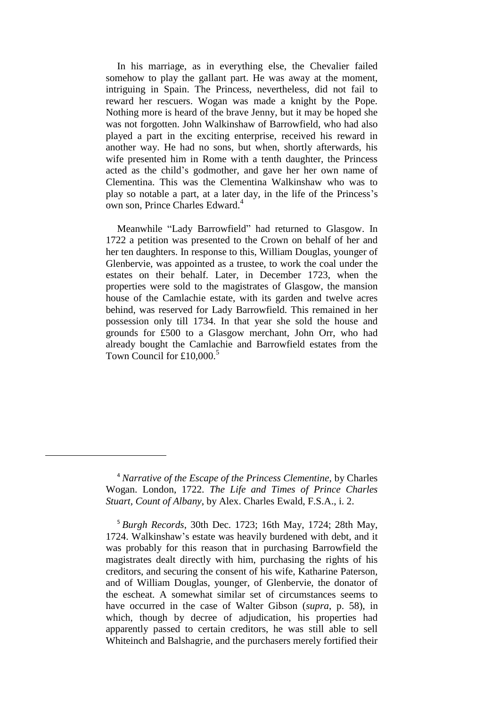In his marriage, as in everything else, the Chevalier failed somehow to play the gallant part. He was away at the moment, intriguing in Spain. The Princess, nevertheless, did not fail to reward her rescuers. Wogan was made a knight by the Pope. Nothing more is heard of the brave Jenny, but it may be hoped she was not forgotten. John Walkinshaw of Barrowfield, who had also played a part in the exciting enterprise, received his reward in another way. He had no sons, but when, shortly afterwards, his wife presented him in Rome with a tenth daughter, the Princess acted as the child's godmother, and gave her her own name of Clementina. This was the Clementina Walkinshaw who was to play so notable a part, at a later day, in the life of the Princess's own son, Prince Charles Edward.<sup>4</sup>

Meanwhile "Lady Barrowfield" had returned to Glasgow. In 1722 a petition was presented to the Crown on behalf of her and her ten daughters. In response to this, William Douglas, younger of Glenbervie, was appointed as a trustee, to work the coal under the estates on their behalf. Later, in December 1723, when the properties were sold to the magistrates of Glasgow, the mansion house of the Camlachie estate, with its garden and twelve acres behind, was reserved for Lady Barrowfield. This remained in her possession only till 1734. In that year she sold the house and grounds for £500 to a Glasgow merchant, John Orr, who had already bought the Camlachie and Barrowfield estates from the Town Council for  $£10,000.<sup>5</sup>$ 

1

<sup>5</sup> *Burgh Records*, 30th Dec. 1723; 16th May, 1724; 28th May, 1724. Walkinshaw's estate was heavily burdened with debt, and it was probably for this reason that in purchasing Barrowfield the magistrates dealt directly with him, purchasing the rights of his creditors, and securing the consent of his wife, Katharine Paterson, and of William Douglas, younger, of Glenbervie, the donator of the escheat. A somewhat similar set of circumstances seems to have occurred in the case of Walter Gibson (*supra*, p. 58), in which, though by decree of adjudication, his properties had apparently passed to certain creditors, he was still able to sell Whiteinch and Balshagrie, and the purchasers merely fortified their

<sup>4</sup> *Narrative of the Escape of the Princess Clementine,* by Charles Wogan. London, 1722. *The Life and Times of Prince Charles Stuart, Count of Albany*, by Alex. Charles Ewald, F.S.A., i. 2.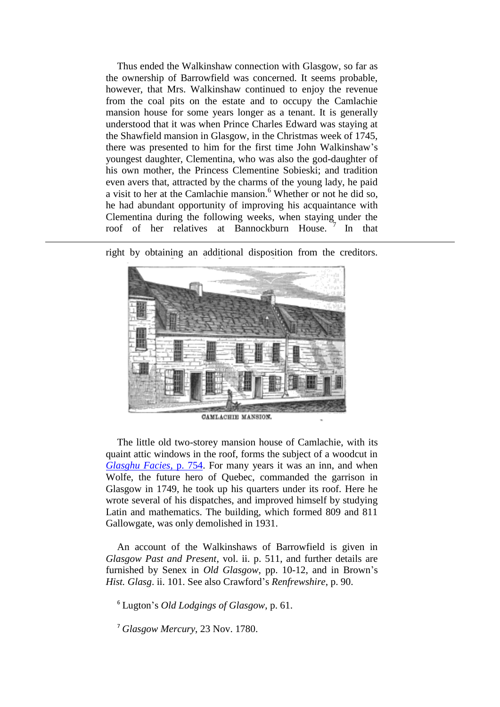Thus ended the Walkinshaw connection with Glasgow, so far as the ownership of Barrowfield was concerned. It seems probable, however, that Mrs. Walkinshaw continued to enjoy the revenue from the coal pits on the estate and to occupy the Camlachie mansion house for some years longer as a tenant. It is generally understood that it was when Prince Charles Edward was staying at the Shawfield mansion in Glasgow, in the Christmas week of 1745, there was presented to him for the first time John Walkinshaw's youngest daughter, Clementina, who was also the god-daughter of his own mother, the Princess Clementine Sobieski; and tradition even avers that, attracted by the charms of the young lady, he paid a visit to her at the Camlachie mansion.<sup>6</sup> Whether or not he did so, he had abundant opportunity of improving his acquaintance with Clementina during the following weeks, when staying under the roof of her relatives at Bannockburn House. <sup>7</sup> In that



right by obtaining an additional disposition from the creditors.

**.** 

The little old two-storey mansion house of Camlachie, with its quaint attic windows in the roof, forms the subject of a woodcut in *[Glasghu Facies](http://books.google.com/books?id=tdgHAAAAQAAJ&dq=Glasgow%20Facies&pg=PA754#v=onepage&q&f=false)*, p. 754. For many years it was an inn, and when Wolfe, the future hero of Quebec, commanded the garrison in Glasgow in 1749, he took up his quarters under its roof. Here he wrote several of his dispatches, and improved himself by studying Latin and mathematics. The building, which formed 809 and 811 Gallowgate, was only demolished in 1931.

An account of the Walkinshaws of Barrowfield is given in *Glasgow Past and Present*, vol. ii. p. 511, and further details are furnished by Senex in *Old Glasgow*, pp. 10-12, and in Brown's *Hist. Glasg*. ii. 101. See also Crawford's *Renfrewshire*, p. 90.

<sup>6</sup> Lugton's *Old Lodgings of Glasgow*, p. 61.

<sup>7</sup> *Glasgow Mercury*, 23 Nov. 1780.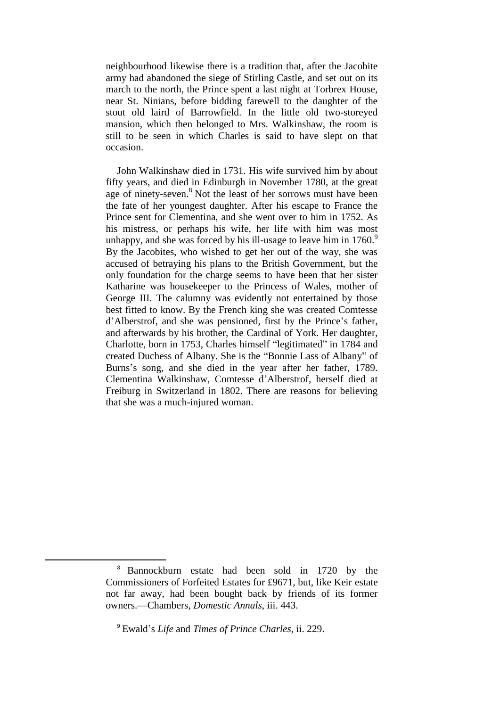neighbourhood likewise there is a tradition that, after the Jacobite army had abandoned the siege of Stirling Castle, and set out on its march to the north, the Prince spent a last night at Torbrex House, near St. Ninians, before bidding farewell to the daughter of the stout old laird of Barrowfield. In the little old two-storeyed mansion, which then belonged to Mrs. Walkinshaw, the room is still to be seen in which Charles is said to have slept on that occasion.

John Walkinshaw died in 1731. His wife survived him by about fifty years, and died in Edinburgh in November 1780, at the great age of ninety-seven.<sup>8</sup> Not the least of her sorrows must have been the fate of her youngest daughter. After his escape to France the Prince sent for Clementina, and she went over to him in 1752. As his mistress, or perhaps his wife, her life with him was most unhappy, and she was forced by his ill-usage to leave him in  $1760$ . By the Jacobites, who wished to get her out of the way, she was accused of betraying his plans to the British Government, but the only foundation for the charge seems to have been that her sister Katharine was housekeeper to the Princess of Wales, mother of George III. The calumny was evidently not entertained by those best fitted to know. By the French king she was created Comtesse d'Alberstrof, and she was pensioned, first by the Prince's father, and afterwards by his brother, the Cardinal of York. Her daughter, Charlotte, born in 1753, Charles himself "legitimated" in 1784 and created Duchess of Albany. She is the "Bonnie Lass of Albany" of Burns's song, and she died in the year after her father, 1789. Clementina Walkinshaw, Comtesse d'Alberstrof, herself died at Freiburg in Switzerland in 1802. There are reasons for believing that she was a much-injured woman.

**.** 

<sup>8</sup> Bannockburn estate had been sold in 1720 by the Commissioners of Forfeited Estates for £9671, but, like Keir estate not far away, had been bought back by friends of its former owners.—Chambers, *Domestic Annals*, iii. 443.

<sup>9</sup> Ewald's *Life* and *Times of Prince Charles*, ii. 229.